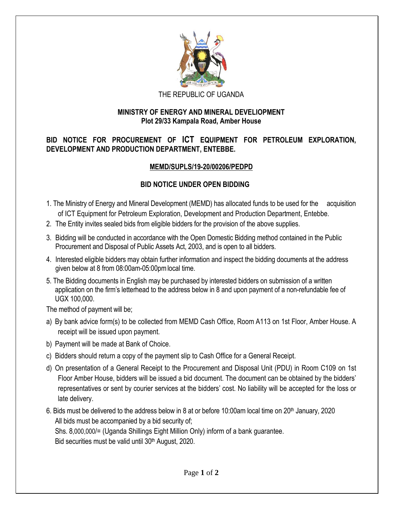

### **MINISTRY OF ENERGY AND MINERAL DEVELIOPMENT Plot 29/33 Kampala Road, Amber House**

# **BID NOTICE FOR PROCUREMENT OF ICT EQUIPMENT FOR PETROLEUM EXPLORATION, DEVELOPMENT AND PRODUCTION DEPARTMENT, ENTEBBE.**

## **MEMD/SUPLS/19-20/00206/PEDPD**

## **BID NOTICE UNDER OPEN BIDDING**

- 1. The Ministry of Energy and Mineral Development (MEMD) has allocated funds to be used for the acquisition of ICT Equipment for Petroleum Exploration, Development and Production Department, Entebbe.
- 2. The Entity invites sealed bids from eligible bidders for the provision of the above supplies.
- 3. Bidding will be conducted in accordance with the Open Domestic Bidding method contained in the Public Procurement and Disposal of Public Assets Act, 2003, and is open to all bidders.
- 4. Interested eligible bidders may obtain further information and inspect the bidding documents at the address given below at 8 from 08:00am-05:00pmlocal time.
- 5. The Bidding documents in English may be purchased by interested bidders on submission of a written application on the firm's letterhead to the address below in 8 and upon payment of a non-refundable fee of UGX 100,000.

The method of payment will be;

- a) By bank advice form(s) to be collected from MEMD Cash Office, Room A113 on 1st Floor, Amber House. A receipt will be issued upon payment.
- b) Payment will be made at Bank of Choice.
- c) Bidders should return a copy of the payment slip to Cash Office for a General Receipt.
- d) On presentation of a General Receipt to the Procurement and Disposal Unit (PDU) in Room C109 on 1st Floor Amber House, bidders will be issued a bid document. The document can be obtained by the bidders' representatives or sent by courier services at the bidders' cost. No liability will be accepted for the loss or late delivery.
- 6. Bids must be delivered to the address below in 8 at or before 10:00am local time on 20<sup>th</sup> January, 2020 All bids must be accompanied by a bid security of; Shs. 8,000,000/= (Uganda Shillings Eight Million Only) inform of a bank guarantee. Bid securities must be valid until 30<sup>th</sup> August, 2020.